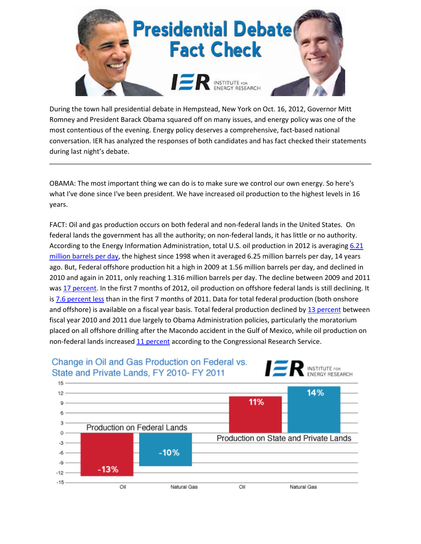

During the town hall presidential debate in Hempstead, New York on Oct. 16, 2012, Governor Mitt Romney and President Barack Obama squared off on many issues, and energy policy was one of the most contentious of the evening. Energy policy deserves a comprehensive, fact-based national conversation. IER has analyzed the responses of both candidates and has fact checked their statements during last night's debate.

OBAMA: The most important thing we can do is to make sure we control our own energy. So here's what I've done since I've been president. We have increased oil production to the highest levels in 16 years.

FACT: Oil and gas production occurs on both federal and non-federal lands in the United States. On federal lands the government has all the authority; on non-federal lands, it has little or no authority. According to the Energy Information Administration, total U.S. oil production in 2012 is averaging [6.21](http://www.eia.gov/totalenergy/data/monthly/pdf/sec3_3.pdf)  [million barrels per](http://www.eia.gov/totalenergy/data/monthly/pdf/sec3_3.pdf) day, the highest since 1998 when it averaged 6.25 million barrels per day, 14 years ago. But, Federal offshore production hit a high in 2009 at 1.56 million barrels per day, and declined in 2010 and again in 2011, only reaching 1.316 million barrels per day. The decline between 2009 and 2011 was [17 percent.](http://www.eia.gov/dnav/pet/hist/LeafHandler.ashx?n=pet&s=mcrfp3fm2&f=a) In the first 7 months of 2012, oil production on offshore federal lands is still declining. It is [7.6 percent less](http://www.eia.gov/dnav/pet/hist/LeafHandler.ashx?n=PET&s=MCRFP3FM2&f=M) than in the first 7 months of 2011. Data for total federal production (both onshore and offshore) is available on a fiscal year basis. Total federal production declined b[y 13 percent](http://www.eia.gov/totalenergy/data/annual/pdf/sec1_31.pdf) between fiscal year 2010 and 2011 due largely to Obama Administration policies, particularly the moratorium placed on all offshore drilling after the Macondo accident in the Gulf of Mexico, while oil production on non-federal lands increase[d 11 percent](http://freebeacon.com/wp-content/uploads/2012/03/R42432.pdf) according to the Congressional Research Service.

## Change in Oil and Gas Production on Federal vs. State and Private Lands, FY 2010- FY 2011



**INSTITUTE FOR ENERGY RESEARCH**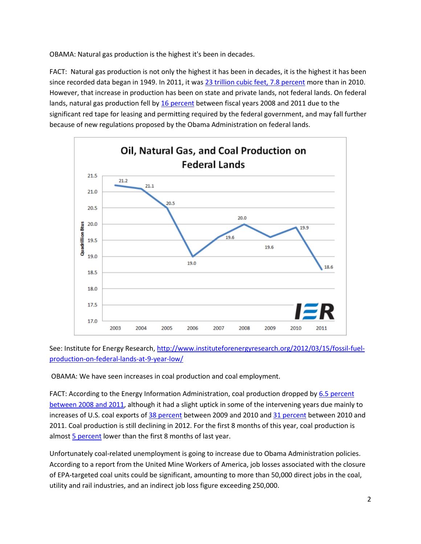OBAMA: Natural gas production is the highest it's been in decades.

FACT: Natural gas production is not only the highest it has been in decades, it is the highest it has been since recorded data began in 1949. In 2011, it was [23 trillion cubic feet, 7.8 percent](http://www.eia.gov/totalenergy/data/annual/pdf/sec6_5.pdf) more than in 2010. However, that increase in production has been on state and private lands, not federal lands. On federal lands, natural gas production fell by [16 percent](http://www.eia.gov/totalenergy/data/annual/pdf/sec1_31.pdf) between fiscal years 2008 and 2011 due to the significant red tape for leasing and permitting required by the federal government, and may fall further because of new regulations proposed by the Obama Administration on federal lands.



See: Institute for Energy Research, [http://www.instituteforenergyresearch.org/2012/03/15/fossil-fuel](http://www.instituteforenergyresearch.org/2012/03/15/fossil-fuel-production-on-federal-lands-at-9-year-low/)[production-on-federal-lands-at-9-year-low/](http://www.instituteforenergyresearch.org/2012/03/15/fossil-fuel-production-on-federal-lands-at-9-year-low/)

OBAMA: We have seen increases in coal production and coal employment.

FACT: According to the Energy Information Administration, coal production dropped by [6.5 percent](http://www.eia.gov/totalenergy/data/monthly/pdf/sec6_3.pdf)  [between 2008 and 2011,](http://www.eia.gov/totalenergy/data/monthly/pdf/sec6_3.pdf) although it had a slight uptick in some of the intervening years due mainly to increases of U.S. coal exports o[f 38 percent](http://www.eia.gov/totalenergy/data/monthly/pdf/sec6_3.pdf) between 2009 and 2010 an[d 31 percent](http://www.eia.gov/totalenergy/data/monthly/pdf/sec6_3.pdf) between 2010 and 2011. Coal production is still declining in 2012. For the first 8 months of this year, coal production is almost [5 percent](http://www.eia.gov/totalenergy/data/monthly/pdf/sec6_3.pdf) lower than the first 8 months of last year.

Unfortunately coal-related unemployment is going to increase due to Obama Administration policies. According to a report from the United Mine Workers of America, job losses associated with the closure of EPA-targeted coal units could be significant, amounting to more than 50,000 direct jobs in the coal, utility and rail industries, and an indirect job loss figure exceeding 250,000.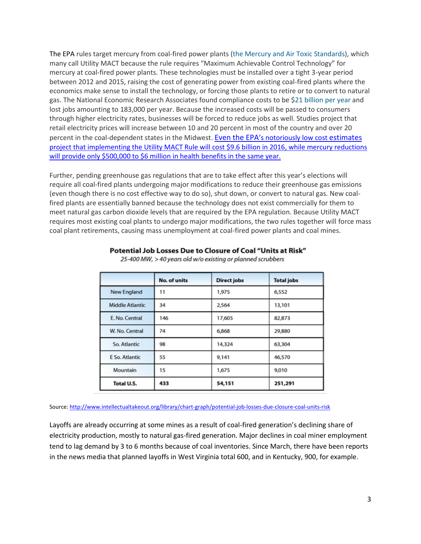The EPA rules target mercury from coal-fired power plants (the Mercury and Air Toxic [Standards\)](http://www.epa.gov/mats/), which many call Utility MACT because the rule requires "Maximum Achievable Control Technology" for mercury at coal-fired power plants. These technologies must be installed over a tight 3-year period between 2012 and 2015, raising the cost of generating power from existing coal-fired plants where the economics make sense to install the technology, or forcing those plants to retire or to convert to natural gas. The National Economic Research Associates found compliance costs to be \$21 [billion](http://www.washingtontimes.com/news/2012/jun/19/chance-to-block-obamas-war-on-coal/) per year and lost jobs amounting to 183,000 per year. Because the increased costs will be passed to consumers through higher electricity rates, businesses will be forced to reduce jobs as well. Studies project that retail electricity prices will increase between 10 and 20 percent in most of the country and over 20 percent in the coal-dependent states in the Midwest. Even the EPA['s notoriously low cost](http://www.forbes.com/sites/realspin/2012/06/12/big-costs-illusory-benefits-why-congress-should-nix-the-utility-mact/) estimates [project that implementing the Utility MACT Rule will cost \\$9.6 billion in 2016, while mercury reductions](http://www.forbes.com/sites/realspin/2012/06/12/big-costs-illusory-benefits-why-congress-should-nix-the-utility-mact/)  will [provide only \\$500,000](http://www.forbes.com/sites/realspin/2012/06/12/big-costs-illusory-benefits-why-congress-should-nix-the-utility-mact/) to \$6 million in health benefits in the same year.

Further, pending greenhouse gas regulations that are to take effect after this year's elections will require all coal-fired plants undergoing major modifications to reduce their greenhouse gas emissions (even though there is no cost effective way to do so), shut down, or convert to natural gas. New coalfired plants are essentially banned because the technology does not exist commercially for them to meet natural gas carbon dioxide levels that are required by the EPA regulation. Because Utility MACT requires most existing coal plants to undergo major modifications, the two rules together will force mass coal plant retirements, causing mass unemployment at coal-fired power plants and coal mines.

|                        | No. of units | <b>Direct jobs</b> | <b>Total jobs</b> |
|------------------------|--------------|--------------------|-------------------|
| New England            | 11           | 1,975              | 6,552             |
| <b>Middle Atlantic</b> | 34           | 2,564              | 13,101            |
| E. No. Central         | 146          | 17,605             | 82,873            |
| W. No. Central         | 74           | 6,868              | 29,880            |
| So. Atlantic           | 98           | 14,324             | 63,304            |
| E So. Atlantic         | 55           | 9,141              | 46,570            |
| Mountain               | 15           | 1,675              | 9,010             |
| Total U.S.             | 433          | 54,151             | 251,291           |

### Potential Job Losses Due to Closure of Coal "Units at Risk"

25-400 MW, > 40 years old w/o existing or planned scrubbers

#### Source[: http://www.intellectualtakeout.org/library/chart-graph/potential-job-losses-due-closure-coal-units-risk](http://www.intellectualtakeout.org/library/chart-graph/potential-job-losses-due-closure-coal-units-risk)

Layoffs are already occurring at some mines as a result of coal-fired generation's declining share of electricity production, mostly to natural gas-fired generation. Major declines in coal miner employment tend to lag demand by 3 to 6 months because of coal inventories. Since March, there have been reports in the news media that planned layoffs in West Virginia total 600, and in Kentucky, 900, for example.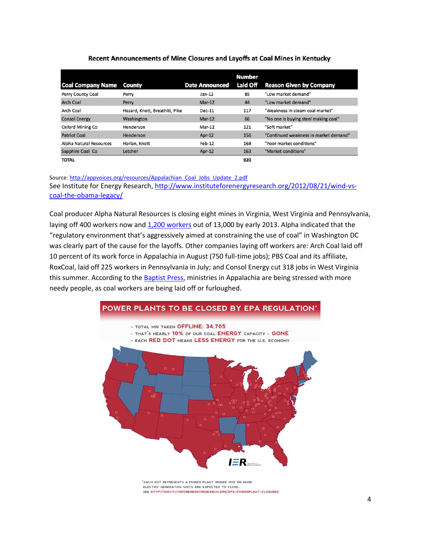|                          |                                |                       | <b>Number</b> |                                       |
|--------------------------|--------------------------------|-----------------------|---------------|---------------------------------------|
| <b>Coal Company Name</b> | County                         | <b>Date Announced</b> | Laid Off      | <b>Reason Given by Company</b>        |
| Perry County Coal        | Perry                          | $Jan-12$              | 85            | "Low market demand"                   |
| <b>Arch Coal</b>         | Perry                          | $Mar-12$              | 44            | "Low market demand"                   |
| <b>Arch Coal</b>         | Hazard, Knott, Breathitt, Pike | $Dec-11$              | 117           | "Weakness in steam coal market"       |
| <b>Consol Energy</b>     | Washington                     | $Mar-12$              | 66            | "No one is buying steel making coal"  |
| Oxford Mining Co         | Henderson                      | $Mar-12$              | 121           | "Soft market"                         |
| <b>Patriot Coal</b>      | Henderson                      | $Apr-12$              | 156           | "Continued weakness in market demand" |
| Alpha Natural Resources  | Harlan, Knott                  | Feb-12                | 168           | "Poor market conditions"              |
| Sapphire Coal Co         | Letcher                        | Apr-12                | 163           | "Market conditions"                   |
| <b>TOTAL</b>             |                                |                       | 920           |                                       |

### Recent Announcements of Mine Closures and Layoffs at Coal Mines in Kentucky

Source[: http://appvoices.org/resources/Appalachian\\_Coal\\_Jobs\\_Update\\_2.pdf](http://appvoices.org/resources/Appalachian_Coal_Jobs_Update_2.pdf) See Institute for Energy Research, [http://www.instituteforenergyresearch.org/2012/08/21/wind-vs](http://www.instituteforenergyresearch.org/2012/08/21/wind-vs-coal-the-obama-legacy/)[coal-the-obama-legacy/](http://www.instituteforenergyresearch.org/2012/08/21/wind-vs-coal-the-obama-legacy/)

Coal producer Alpha Natural Resources is closing eight mines in Virginia, West Virginia and Pennsylvania, laying off 400 workers now and [1,200 workers](http://professional.wsj.com/article/SB10000872396390444165804578006112416369962.html?lpe=WSJ_PRO&lpe=WSJ_PRO&mg=com-wsj) out of 13,000 by early 2013. Alpha indicated that the "regulatory environment that's aggressively aimed at constraining the use of coal" in Washington DC was clearly part of the cause for the layoffs. Other companies laying off workers are: Arch Coal laid off 10 percent of its work force in Appalachia in August (750 full-time jobs); PBS Coal and its affiliate, RoxCoal, laid off 225 workers in Pennsylvania in July; and Consol Energy cut 318 jobs in West Virginia this summer. According to the [Baptist Press,](http://www.sbcbaptistpress.org/BPnews.asp?ID=38751) ministries in Appalachia are being stressed with more needy people, as coal workers are being laid off or furloughed.



\*EACH DOT REPRESENTS A POWER PLANT WHERE ONE OR MORE ELECTRIC GENERATING UNITS ARE EXPECTED TO CLOSE. SEE HTTP://INSTITUTEFORENERGYRESEARCH.ORG/EPA-POWERPLANT-CLOSURES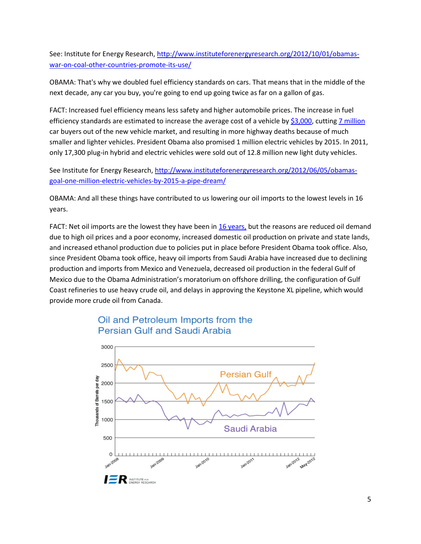See: Institute for Energy Research, [http://www.instituteforenergyresearch.org/2012/10/01/obamas](http://www.instituteforenergyresearch.org/2012/10/01/obamas-war-on-coal-other-countries-promote-its-use/)[war-on-coal-other-countries-promote-its-use/](http://www.instituteforenergyresearch.org/2012/10/01/obamas-war-on-coal-other-countries-promote-its-use/)

OBAMA: That's why we doubled fuel efficiency standards on cars. That means that in the middle of the next decade, any car you buy, you're going to end up going twice as far on a gallon of gas.

FACT: Increased fuel efficiency means less safety and higher automobile prices. The increase in fuel efficiency standards are estimated to increase the average cost of a vehicle by [\\$3,000,](http://www.nadafrontpage.com/NADA_Proposed_Fuel_Economy_Rules_Cut_Millions_of_Car_Buyers_Out_of_Market.xml) cuttin[g 7 million](http://www.nadafrontpage.com/NADA_Proposed_Fuel_Economy_Rules_Cut_Millions_of_Car_Buyers_Out_of_Market.xml) car buyers out of the new vehicle market, and resulting in more highway deaths because of much smaller and lighter vehicles. President Obama also promised 1 million electric vehicles by 2015. In 2011, only 17,300 plug-in hybrid and electric vehicles were sold out of 12.8 million new light duty vehicles.

See Institute for Energy Research, [http://www.instituteforenergyresearch.org/2012/06/05/obamas](http://www.instituteforenergyresearch.org/2012/06/05/obamas-goal-one-million-electric-vehicles-by-2015-a-pipe-dream/)[goal-one-million-electric-vehicles-by-2015-a-pipe-dream/](http://www.instituteforenergyresearch.org/2012/06/05/obamas-goal-one-million-electric-vehicles-by-2015-a-pipe-dream/)

OBAMA: And all these things have contributed to us lowering our oil imports to the lowest levels in 16 years.

FACT: Net oil imports are the lowest they have been in [16 years,](http://www.eia.gov/totalenergy/data/monthly/pdf/sec3_7.pdf) but the reasons are reduced oil demand due to high oil prices and a poor economy, increased domestic oil production on private and state lands, and increased ethanol production due to policies put in place before President Obama took office. Also, since President Obama took office, heavy oil imports from Saudi Arabia have increased due to declining production and imports from Mexico and Venezuela, decreased oil production in the federal Gulf of Mexico due to the Obama Administration's moratorium on offshore drilling, the configuration of Gulf Coast refineries to use heavy crude oil, and delays in approving the Keystone XL pipeline, which would provide more crude oil from Canada.



# Oil and Petroleum Imports from the Persian Gulf and Saudi Arabia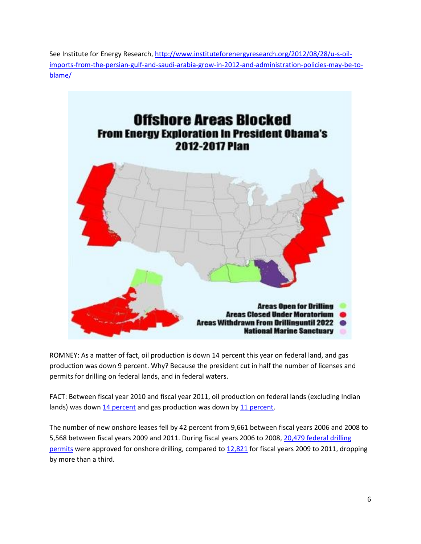See Institute for Energy Research, [http://www.instituteforenergyresearch.org/2012/08/28/u-s-oil](http://www.instituteforenergyresearch.org/2012/08/28/u-s-oil-imports-from-the-persian-gulf-and-saudi-arabia-grow-in-2012-and-administration-policies-may-be-to-blame/)[imports-from-the-persian-gulf-and-saudi-arabia-grow-in-2012-and-administration-policies-may-be-to](http://www.instituteforenergyresearch.org/2012/08/28/u-s-oil-imports-from-the-persian-gulf-and-saudi-arabia-grow-in-2012-and-administration-policies-may-be-to-blame/)[blame/](http://www.instituteforenergyresearch.org/2012/08/28/u-s-oil-imports-from-the-persian-gulf-and-saudi-arabia-grow-in-2012-and-administration-policies-may-be-to-blame/) 



ROMNEY: As a matter of fact, oil production is down 14 percent this year on federal land, and gas production was down 9 percent. Why? Because the president cut in half the number of licenses and permits for drilling on federal lands, and in federal waters.

FACT: Between fiscal year 2010 and fiscal year 2011, oil production on federal lands (excluding Indian lands) was down [14 percent](http://www.eia.gov/analysis/requests/federallands/pdf/eia-federallandsales.pdf) and gas production was down by [11 percent.](http://www.eia.gov/analysis/requests/federallands/pdf/eia-federallandsales.pdf)

The number of new onshore leases fell by 42 percent from 9,661 between fiscal years 2006 and 2008 to 5,568 between fiscal years 2009 and 2011. During fiscal years 2006 to 2008, [20,479 federal drilling](http://www.blm.gov/pgdata/etc/medialib/blm/wo/MINERALS__REALTY__AND_RESOURCE_PROTECTION_/energy/oil___gas_statistics/data_sets.Par.69959.File.dat/table-01.pdf)  [permits](http://www.blm.gov/pgdata/etc/medialib/blm/wo/MINERALS__REALTY__AND_RESOURCE_PROTECTION_/energy/oil___gas_statistics/data_sets.Par.69959.File.dat/table-01.pdf) were approved for onshore drilling, compared t[o 12,821](http://www.blm.gov/pgdata/etc/medialib/blm/wo/MINERALS__REALTY__AND_RESOURCE_PROTECTION_/energy/oil___gas_statistics/data_sets.Par.69959.File.dat/table-01.pdf) for fiscal years 2009 to 2011, dropping by more than a third.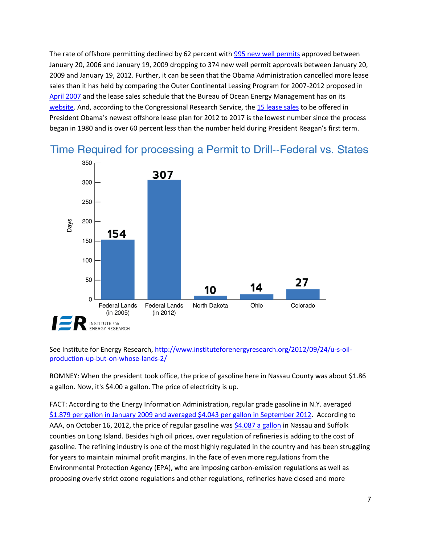The rate of offshore permitting declined by 62 percent with [995 new well permits](http://www.data.bsee.gov/homepg/data_center/plans/apdcombined/master.asp) approved between January 20, 2006 and January 19, 2009 dropping to 374 new well permit approvals between January 20, 2009 and January 19, 2012. Further, it can be seen that the Obama Administration cancelled more lease sales than it has held by comparing the Outer Continental Leasing Program for 2007-2012 proposed in [April 2007](http://www.boemre.gov/5-year/PDFs/MMSProposedFinalProgram2007-2012.pdf) and the lease sales schedule that the Bureau of Ocean Energy Management has on its [website.](http://www.boem.gov/Oil-and-Gas-Energy-Program/Leasing/Five-Year-Program/2007-2012-Lease-Sale-Schedule.aspx) And, according to the Congressional Research Service, th[e 15 lease sales](http://naturalresources.house.gov/uploadedfiles/crs-doi5yrsec18submissions07-16-12.pdf) to be offered in President Obama's newest offshore lease plan for 2012 to 2017 is the lowest number since the process began in 1980 and is over 60 percent less than the number held during President Reagan's first term.



Time Required for processing a Permit to Drill--Federal vs. States

## See Institute for Energy Research, [http://www.instituteforenergyresearch.org/2012/09/24/u-s-oil](http://www.instituteforenergyresearch.org/2012/09/24/u-s-oil-production-up-but-on-whose-lands-2/)[production-up-but-on-whose-lands-2/](http://www.instituteforenergyresearch.org/2012/09/24/u-s-oil-production-up-but-on-whose-lands-2/)

ROMNEY: When the president took office, the price of gasoline here in Nassau County was about \$1.86 a gallon. Now, it's \$4.00 a gallon. The price of electricity is up.

FACT: According to the Energy Information Administration, regular grade gasoline in N.Y. averaged [\\$1.879 per gallon in January 2009 and averaged \\$4.043 per gallon in September 2012.](http://www.eia.gov/dnav/pet/hist/LeafHandler.ashx?n=PET&s=EMM_EPMR_PTE_SNY_DPG&f=M) According to AAA, on October 16, 2012, the price of regular gasoline was [\\$4.087 a gallon](http://fuelgaugereport.opisnet.com/NYmetro.asp) in Nassau and Suffolk counties on Long Island. Besides high oil prices, over regulation of refineries is adding to the cost of gasoline. The refining industry is one of the most highly regulated in the country and has been struggling for years to maintain minimal profit margins. In the face of even more regulations from the Environmental Protection Agency (EPA), who are imposing carbon-emission regulations as well as proposing overly strict ozone regulations and other regulations, refineries have closed and more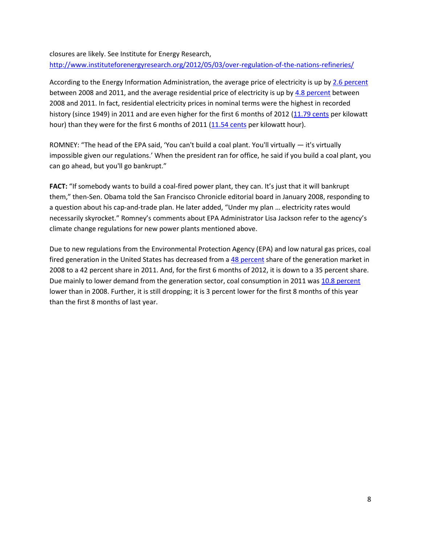closures are likely. See Institute for Energy Research, <http://www.instituteforenergyresearch.org/2012/05/03/over-regulation-of-the-nations-refineries/>

According to the Energy Information Administration, the average price of electricity is up by [2.6 percent](http://www.eia.gov/totalenergy/data/monthly/pdf/sec9_14.pdf) between 2008 and 2011, and the average residential price of electricity is up by [4.8 percent](http://www.eia.gov/totalenergy/data/monthly/pdf/sec9_14.pdf) between 2008 and 2011. In fact, residential electricity prices in nominal terms were the highest in recorded history (since 1949) in 2011 and are even higher for the first 6 months of 2012 [\(11.79 cents](http://www.eia.gov/totalenergy/data/monthly/pdf/sec9_14.pdf) per kilowatt hour) than they were for the first 6 months of 2011 [\(11.54 cents](http://www.eia.gov/totalenergy/data/monthly/pdf/sec9_14.pdf) per kilowatt hour).

ROMNEY: "The head of the EPA said, 'You can't build a coal plant. You'll virtually — it's virtually impossible given our regulations.' When the president ran for office, he said if you build a coal plant, you can go ahead, but you'll go bankrupt."

FACT: "If somebody wants to build a coal-fired power plant, they can. It's just that it will bankrupt them," then-Sen. Obama told the San Francisco Chronicle editorial board in January 2008, responding to a question about his cap-and-trade plan. He later added, "Under my plan … electricity rates would necessarily skyrocket." Romney's comments about EPA Administrator Lisa Jackson refer to the agency's climate change regulations for new power plants mentioned above.

Due to new regulations from the Environmental Protection Agency (EPA) and low natural gas prices, coal fired generation in the United States has decreased from a [48 percent](http://www.eia.gov/totalenergy/data/monthly/pdf/sec7_5.pdf) share of the generation market in 2008 to a 42 percent share in 2011. And, for the first 6 months of 2012, it is down to a 35 percent share. Due mainly to lower demand from the generation sector, coal consumption in 2011 was [10.8 percent](http://www.eia.gov/totalenergy/data/monthly/pdf/sec6_3.pdf) lower than in 2008. Further, it is still dropping; it is 3 percent lower for the first 8 months of this year than the first 8 months of last year.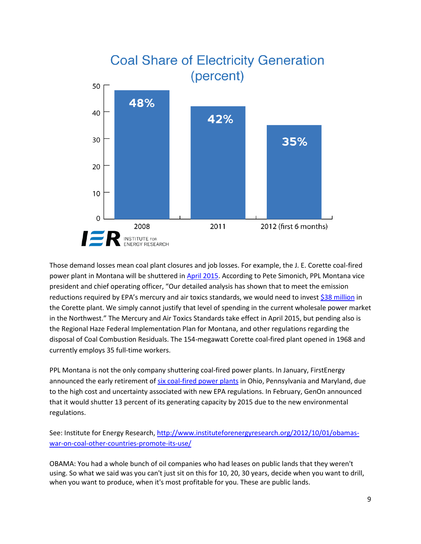

Those demand losses mean coal plant closures and job losses. For example, the J. E. Corette coal-fired power plant in Montana will be shuttered in [April 2015.](http://www.laureloutlook.com/news/article_6c2d6f90-07f3-11e2-931a-0019bb2963f4.html) According to Pete Simonich, PPL Montana vice president and chief operating officer, "Our detailed analysis has shown that to meet the emission reductions required by EPA's mercury and air toxics standards, we would need to invest [\\$38 million](http://www.eenews.net/Greenwire/2012/09/20/16) in the Corette plant. We simply cannot justify that level of spending in the current wholesale power market in the Northwest." The Mercury and Air Toxics Standards take effect in April 2015, but pending also is the Regional Haze Federal Implementation Plan for Montana, and other regulations regarding the disposal of Coal Combustion Residuals. The 154-megawatt Corette coal-fired plant opened in 1968 and currently employs 35 full-time workers.

PPL Montana is not the only company shuttering coal-fired power plants. In January, FirstEnergy announced the early retirement of [six coal-fired power plants](http://www.politico.com/news/stories/0912/81492.html) in Ohio, Pennsylvania and Maryland, due to the high cost and uncertainty associated with new EPA regulations. In February, GenOn announced that it would shutter 13 percent of its generating capacity by 2015 due to the new environmental regulations.

See: Institute for Energy Research, [http://www.instituteforenergyresearch.org/2012/10/01/obamas](http://www.instituteforenergyresearch.org/2012/10/01/obamas-war-on-coal-other-countries-promote-its-use/)[war-on-coal-other-countries-promote-its-use/](http://www.instituteforenergyresearch.org/2012/10/01/obamas-war-on-coal-other-countries-promote-its-use/)

OBAMA: You had a whole bunch of oil companies who had leases on public lands that they weren't using. So what we said was you can't just sit on this for 10, 20, 30 years, decide when you want to drill, when you want to produce, when it's most profitable for you. These are public lands.